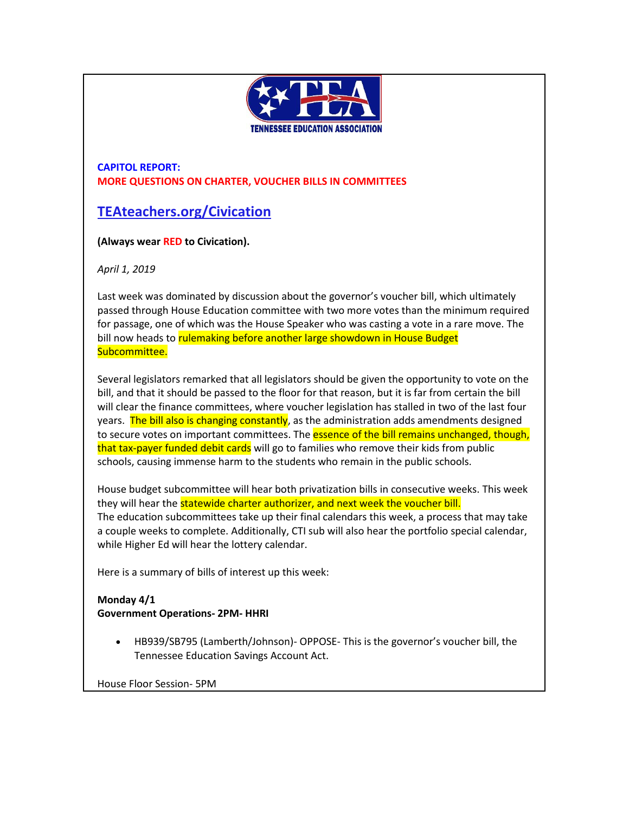

**CAPITOL REPORT: MORE QUESTIONS ON CHARTER, VOUCHER BILLS IN COMMITTEES**

# **[TEAteachers.org/Civication](http://teateachers.org/Civication)**

**(Always wear RED to Civication).**

*April 1, 2019*

Last week was dominated by discussion about the governor's voucher bill, which ultimately passed through House Education committee with two more votes than the minimum required for passage, one of which was the House Speaker who was casting a vote in a rare move. The bill now heads to rulemaking before another large showdown in House Budget Subcommittee.

Several legislators remarked that all legislators should be given the opportunity to vote on the bill, and that it should be passed to the floor for that reason, but it is far from certain the bill will clear the finance committees, where voucher legislation has stalled in two of the last four years. The bill also is changing constantly, as the administration adds amendments designed to secure votes on important committees. The **essence of the bill remains unchanged, though,** that tax-payer funded debit cards will go to families who remove their kids from public schools, causing immense harm to the students who remain in the public schools.

House budget subcommittee will hear both privatization bills in consecutive weeks. This week they will hear the statewide charter authorizer, and next week the voucher bill. The education subcommittees take up their final calendars this week, a process that may take a couple weeks to complete. Additionally, CTI sub will also hear the portfolio special calendar, while Higher Ed will hear the lottery calendar.

Here is a summary of bills of interest up this week:

## **Monday 4/1 Government Operations- 2PM- HHRI**

• HB939/SB795 (Lamberth/Johnson)- OPPOSE- This is the governor's voucher bill, the Tennessee Education Savings Account Act.

House Floor Session- 5PM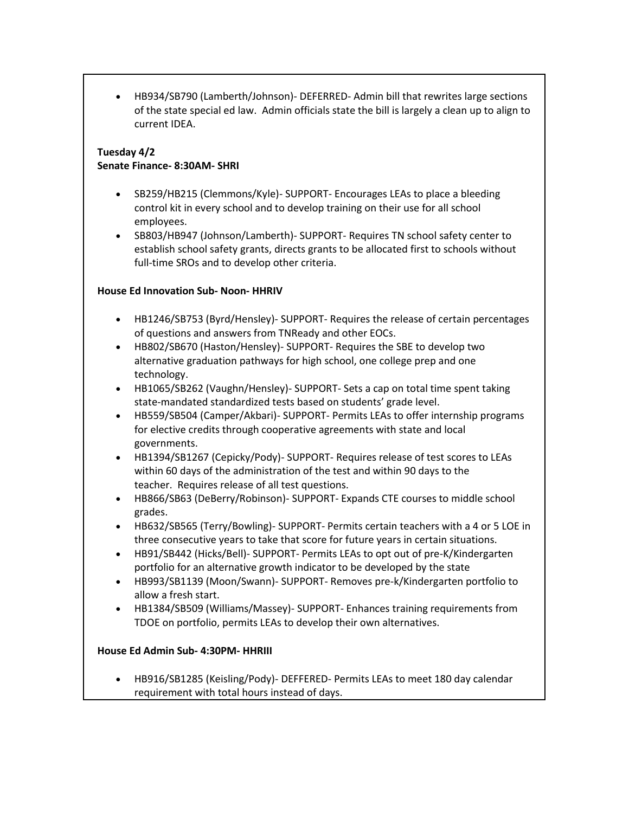• HB934/SB790 (Lamberth/Johnson)- DEFERRED- Admin bill that rewrites large sections of the state special ed law. Admin officials state the bill is largely a clean up to align to current IDEA.

#### **Tuesday 4/2 Senate Finance- 8:30AM- SHRI**

- SB259/HB215 (Clemmons/Kyle)- SUPPORT- Encourages LEAs to place a bleeding control kit in every school and to develop training on their use for all school employees.
- SB803/HB947 (Johnson/Lamberth)- SUPPORT- Requires TN school safety center to establish school safety grants, directs grants to be allocated first to schools without full-time SROs and to develop other criteria.

## **House Ed Innovation Sub- Noon- HHRIV**

- HB1246/SB753 (Byrd/Hensley)- SUPPORT- Requires the release of certain percentages of questions and answers from TNReady and other EOCs.
- HB802/SB670 (Haston/Hensley)- SUPPORT- Requires the SBE to develop two alternative graduation pathways for high school, one college prep and one technology.
- HB1065/SB262 (Vaughn/Hensley)- SUPPORT- Sets a cap on total time spent taking state-mandated standardized tests based on students' grade level.
- HB559/SB504 (Camper/Akbari)- SUPPORT- Permits LEAs to offer internship programs for elective credits through cooperative agreements with state and local governments.
- HB1394/SB1267 (Cepicky/Pody)- SUPPORT- Requires release of test scores to LEAs within 60 days of the administration of the test and within 90 days to the teacher. Requires release of all test questions.
- HB866/SB63 (DeBerry/Robinson)- SUPPORT- Expands CTE courses to middle school grades.
- HB632/SB565 (Terry/Bowling)- SUPPORT- Permits certain teachers with a 4 or 5 LOE in three consecutive years to take that score for future years in certain situations.
- HB91/SB442 (Hicks/Bell)- SUPPORT- Permits LEAs to opt out of pre-K/Kindergarten portfolio for an alternative growth indicator to be developed by the state
- HB993/SB1139 (Moon/Swann)- SUPPORT- Removes pre-k/Kindergarten portfolio to allow a fresh start.
- HB1384/SB509 (Williams/Massey)- SUPPORT- Enhances training requirements from TDOE on portfolio, permits LEAs to develop their own alternatives.

## **House Ed Admin Sub- 4:30PM- HHRIII**

• HB916/SB1285 (Keisling/Pody)- DEFFERED- Permits LEAs to meet 180 day calendar requirement with total hours instead of days.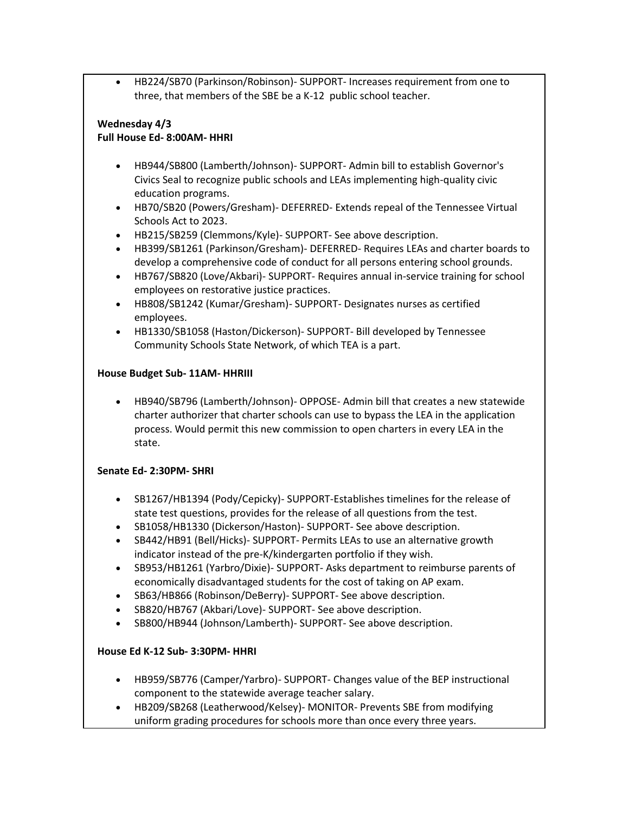• HB224/SB70 (Parkinson/Robinson)- SUPPORT- Increases requirement from one to three, that members of the SBE be a K-12 public school teacher.

#### **Wednesday 4/3 Full House Ed- 8:00AM- HHRI**

- HB944/SB800 (Lamberth/Johnson)- SUPPORT- Admin bill to establish Governor's Civics Seal to recognize public schools and LEAs implementing high-quality civic education programs.
- HB70/SB20 (Powers/Gresham)- DEFERRED- Extends repeal of the Tennessee Virtual Schools Act to 2023.
- HB215/SB259 (Clemmons/Kyle)- SUPPORT- See above description.
- HB399/SB1261 (Parkinson/Gresham)- DEFERRED- Requires LEAs and charter boards to develop a comprehensive code of conduct for all persons entering school grounds.
- HB767/SB820 (Love/Akbari)- SUPPORT- Requires annual in-service training for school employees on restorative justice practices.
- HB808/SB1242 (Kumar/Gresham)- SUPPORT- Designates nurses as certified employees.
- HB1330/SB1058 (Haston/Dickerson)- SUPPORT- Bill developed by Tennessee Community Schools State Network, of which TEA is a part.

## **House Budget Sub- 11AM- HHRIII**

• HB940/SB796 (Lamberth/Johnson)- OPPOSE- Admin bill that creates a new statewide charter authorizer that charter schools can use to bypass the LEA in the application process. Would permit this new commission to open charters in every LEA in the state.

## **Senate Ed- 2:30PM- SHRI**

- SB1267/HB1394 (Pody/Cepicky)- SUPPORT-Establishes timelines for the release of state test questions, provides for the release of all questions from the test.
- SB1058/HB1330 (Dickerson/Haston)- SUPPORT- See above description.
- SB442/HB91 (Bell/Hicks)- SUPPORT- Permits LEAs to use an alternative growth indicator instead of the pre-K/kindergarten portfolio if they wish.
- SB953/HB1261 (Yarbro/Dixie)- SUPPORT- Asks department to reimburse parents of economically disadvantaged students for the cost of taking on AP exam.
- SB63/HB866 (Robinson/DeBerry)- SUPPORT- See above description.
- SB820/HB767 (Akbari/Love)- SUPPORT- See above description.
- SB800/HB944 (Johnson/Lamberth)- SUPPORT- See above description.

## **House Ed K-12 Sub- 3:30PM- HHRI**

- HB959/SB776 (Camper/Yarbro)- SUPPORT- Changes value of the BEP instructional component to the statewide average teacher salary.
- HB209/SB268 (Leatherwood/Kelsey)- MONITOR- Prevents SBE from modifying uniform grading procedures for schools more than once every three years.